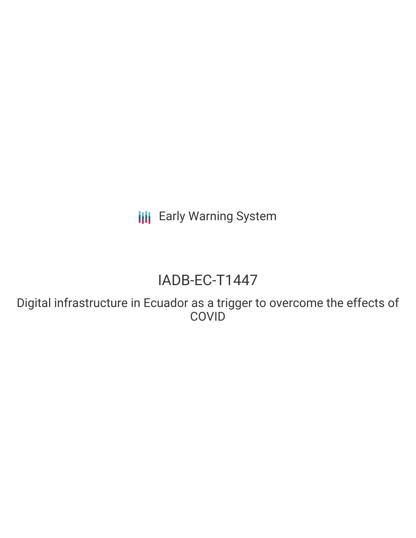**III** Early Warning System

# IADB-EC-T1447

Digital infrastructure in Ecuador as a trigger to overcome the effects of **COVID**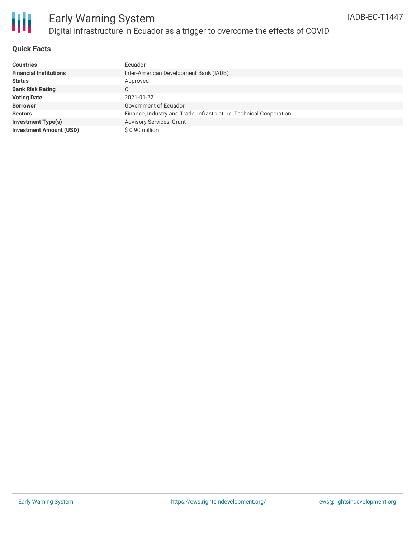

# Early Warning System Digital infrastructure in Ecuador as a trigger to overcome the effects of COVID

### **Quick Facts**

| <b>Countries</b>               | Ecuador                                                            |
|--------------------------------|--------------------------------------------------------------------|
| <b>Financial Institutions</b>  | Inter-American Development Bank (IADB)                             |
| <b>Status</b>                  | Approved                                                           |
| <b>Bank Risk Rating</b>        | C.                                                                 |
| <b>Voting Date</b>             | 2021-01-22                                                         |
| <b>Borrower</b>                | Government of Ecuador                                              |
| <b>Sectors</b>                 | Finance, Industry and Trade, Infrastructure, Technical Cooperation |
| <b>Investment Type(s)</b>      | <b>Advisory Services, Grant</b>                                    |
| <b>Investment Amount (USD)</b> | \$0.90 million                                                     |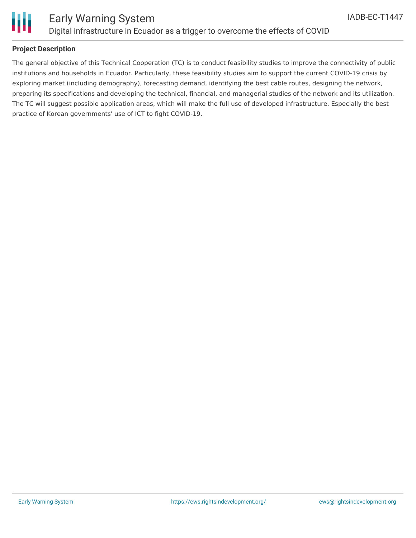

### **Project Description**

The general objective of this Technical Cooperation (TC) is to conduct feasibility studies to improve the connectivity of public institutions and households in Ecuador. Particularly, these feasibility studies aim to support the current COVID-19 crisis by exploring market (including demography), forecasting demand, identifying the best cable routes, designing the network, preparing its specifications and developing the technical, financial, and managerial studies of the network and its utilization. The TC will suggest possible application areas, which will make the full use of developed infrastructure. Especially the best practice of Korean governments' use of ICT to fight COVID-19.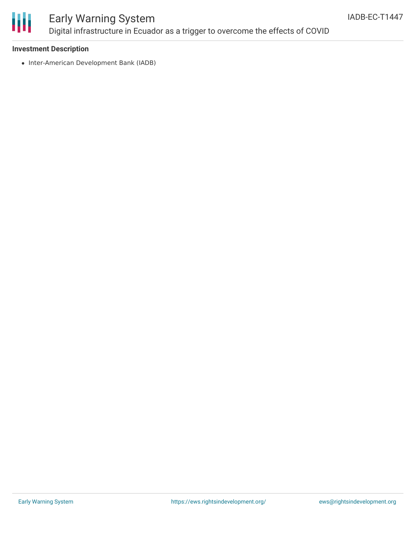

## Early Warning System Digital infrastructure in Ecuador as a trigger to overcome the effects of COVID

### **Investment Description**

• Inter-American Development Bank (IADB)